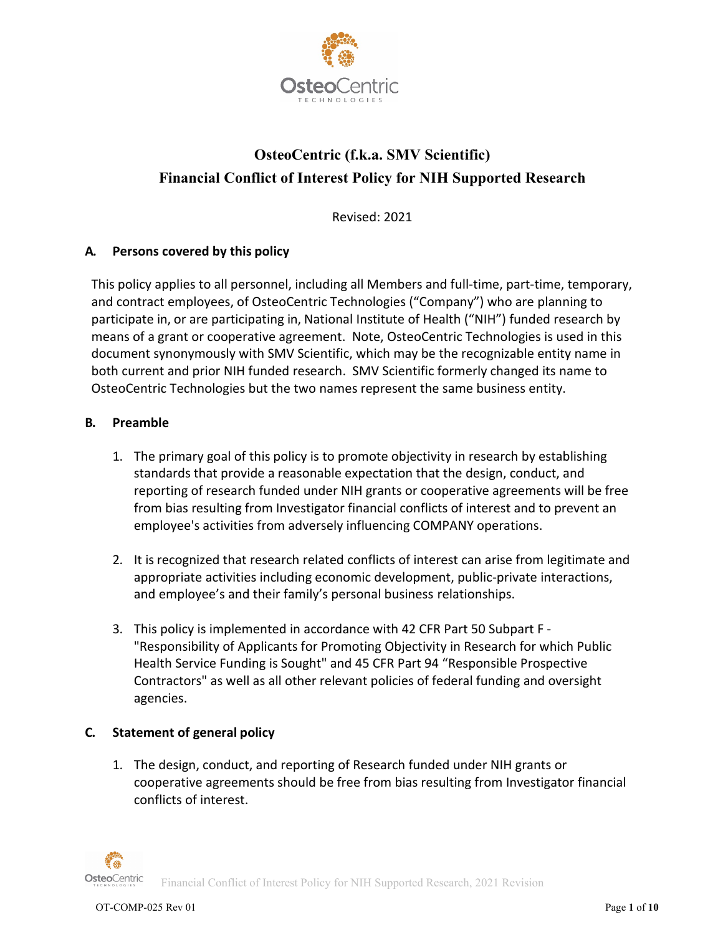

# **OsteoCentric (f.k.a. SMV Scientific) Financial Conflict of Interest Policy for NIH Supported Research**

Revised: 2021

## **A. Persons covered by this policy**

This policy applies to all personnel, including all Members and full-time, part-time, temporary, and contract employees, of OsteoCentric Technologies ("Company") who are planning to participate in, or are participating in, National Institute of Health ("NIH") funded research by means of a grant or cooperative agreement. Note, OsteoCentric Technologies is used in this document synonymously with SMV Scientific, which may be the recognizable entity name in both current and prior NIH funded research. SMV Scientific formerly changed its name to OsteoCentric Technologies but the two names represent the same business entity.

## **B. Preamble**

- 1. The primary goal of this policy is to promote objectivity in research by establishing standards that provide a reasonable expectation that the design, conduct, and reporting of research funded under NIH grants or cooperative agreements will be free from bias resulting from Investigator financial conflicts of interest and to prevent an employee's activities from adversely influencing COMPANY operations.
- 2. It is recognized that research related conflicts of interest can arise from legitimate and appropriate activities including economic development, public-private interactions, and employee's and their family's personal business relationships.
- 3. This policy is implemented in accordance with 42 CFR Part 50 Subpart F "Responsibility of Applicants for Promoting Objectivity in Research for which Public Health Service Funding is Sought" and 45 CFR Part 94 "Responsible Prospective Contractors" as well as all other relevant policies of federal funding and oversight agencies.

## **C. Statement of general policy**

1. The design, conduct, and reporting of Research funded under NIH grants or cooperative agreements should be free from bias resulting from Investigator financial conflicts of interest.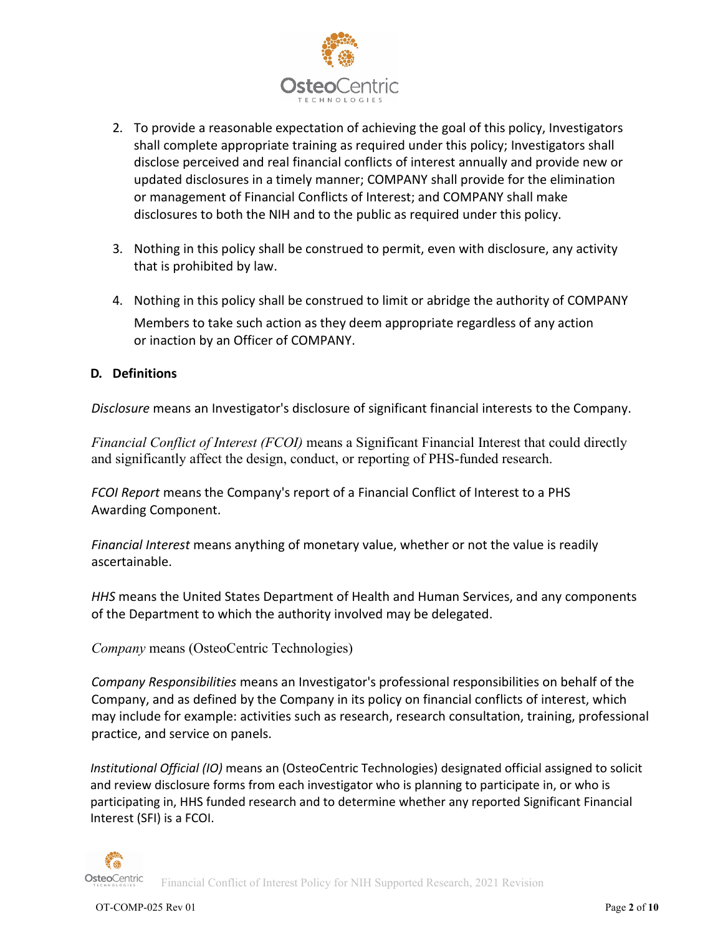

- 2. To provide a reasonable expectation of achieving the goal of this policy, Investigators shall complete appropriate training as required under this policy; Investigators shall disclose perceived and real financial conflicts of interest annually and provide new or updated disclosures in a timely manner; COMPANY shall provide for the elimination or management of Financial Conflicts of Interest; and COMPANY shall make disclosures to both the NIH and to the public as required under this policy.
- 3. Nothing in this policy shall be construed to permit, even with disclosure, any activity that is prohibited by law.
- 4. Nothing in this policy shall be construed to limit or abridge the authority of COMPANY Members to take such action as they deem appropriate regardless of any action or inaction by an Officer of COMPANY.

## **D. Definitions**

*Disclosure* means an Investigator's disclosure of significant financial interests to the Company.

*Financial Conflict of Interest (FCOI)* means a Significant Financial Interest that could directly and significantly affect the design, conduct, or reporting of PHS-funded research.

*FCOI Report* means the Company's report of a Financial Conflict of Interest to a PHS Awarding Component.

*Financial Interest* means anything of monetary value, whether or not the value is readily ascertainable.

*HHS* means the United States Department of Health and Human Services, and any components of the Department to which the authority involved may be delegated.

*Company* means (OsteoCentric Technologies)

*Company Responsibilities* means an Investigator's professional responsibilities on behalf of the Company, and as defined by the Company in its policy on financial conflicts of interest, which may include for example: activities such as research, research consultation, training, professional practice, and service on panels.

*Institutional Official (IO)* means an (OsteoCentric Technologies) designated official assigned to solicit and review disclosure forms from each investigator who is planning to participate in, or who is participating in, HHS funded research and to determine whether any reported Significant Financial Interest (SFI) is a FCOI.

Financial Conflict of Interest Policy for NIH Supported Research, 2021 Revision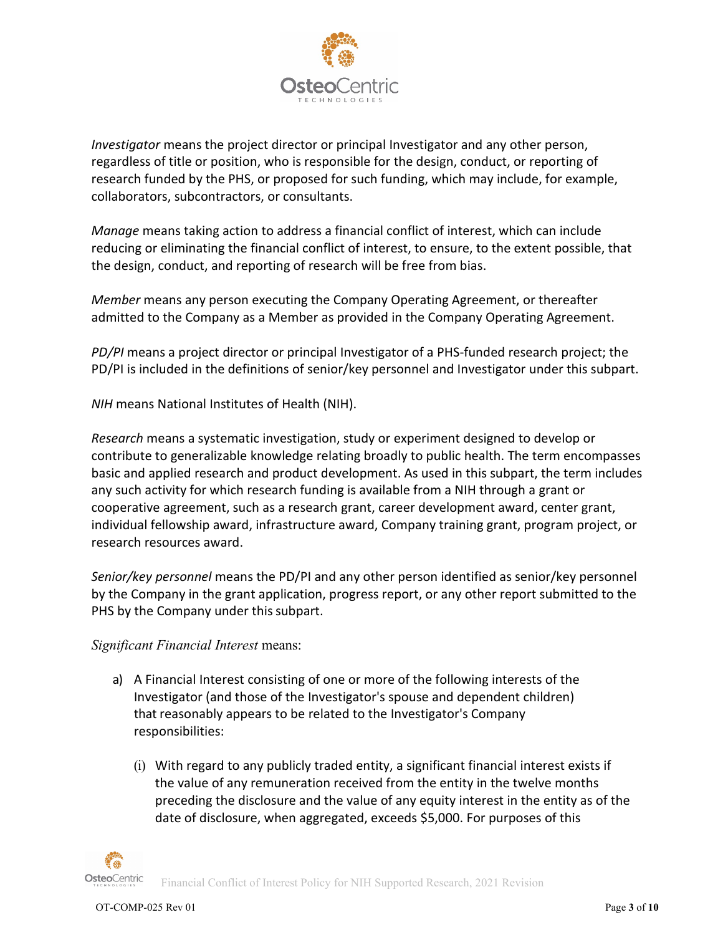

*Investigator* means the project director or principal Investigator and any other person, regardless of title or position, who is responsible for the design, conduct, or reporting of research funded by the PHS, or proposed for such funding, which may include, for example, collaborators, subcontractors, or consultants.

*Manage* means taking action to address a financial conflict of interest, which can include reducing or eliminating the financial conflict of interest, to ensure, to the extent possible, that the design, conduct, and reporting of research will be free from bias.

*Member* means any person executing the Company Operating Agreement, or thereafter admitted to the Company as a Member as provided in the Company Operating Agreement.

*PD/PI* means a project director or principal Investigator of a PHS-funded research project; the PD/PI is included in the definitions of senior/key personnel and Investigator under this subpart.

*NIH* means National Institutes of Health (NIH).

*Research* means a systematic investigation, study or experiment designed to develop or contribute to generalizable knowledge relating broadly to public health. The term encompasses basic and applied research and product development. As used in this subpart, the term includes any such activity for which research funding is available from a NIH through a grant or cooperative agreement, such as a research grant, career development award, center grant, individual fellowship award, infrastructure award, Company training grant, program project, or research resources award.

*Senior/key personnel* means the PD/PI and any other person identified as senior/key personnel by the Company in the grant application, progress report, or any other report submitted to the PHS by the Company under this subpart.

## *Significant Financial Interest* means:

- a) A Financial Interest consisting of one or more of the following interests of the Investigator (and those of the Investigator's spouse and dependent children) that reasonably appears to be related to the Investigator's Company responsibilities:
	- (i) With regard to any publicly traded entity, a significant financial interest exists if the value of any remuneration received from the entity in the twelve months preceding the disclosure and the value of any equity interest in the entity as of the date of disclosure, when aggregated, exceeds \$5,000. For purposes of this

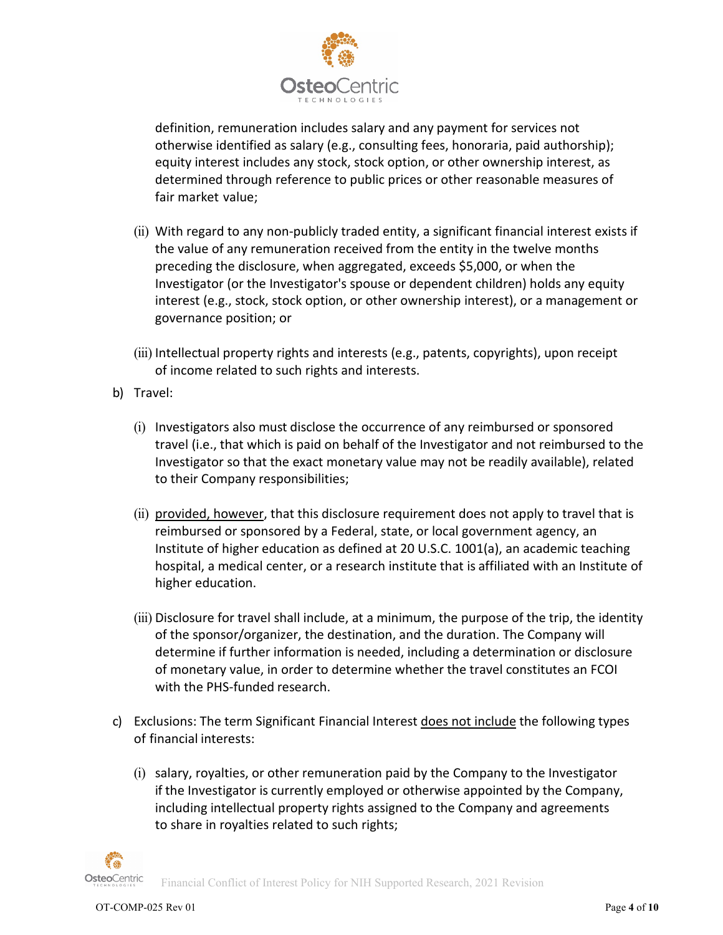

definition, remuneration includes salary and any payment for services not otherwise identified as salary (e.g., consulting fees, honoraria, paid authorship); equity interest includes any stock, stock option, or other ownership interest, as determined through reference to public prices or other reasonable measures of fair market value;

- (ii) With regard to any non-publicly traded entity, a significant financial interest exists if the value of any remuneration received from the entity in the twelve months preceding the disclosure, when aggregated, exceeds \$5,000, or when the Investigator (or the Investigator's spouse or dependent children) holds any equity interest (e.g., stock, stock option, or other ownership interest), or a management or governance position; or
- (iii) Intellectual property rights and interests (e.g., patents, copyrights), upon receipt of income related to such rights and interests.
- b) Travel:
	- (i) Investigators also must disclose the occurrence of any reimbursed or sponsored travel (i.e., that which is paid on behalf of the Investigator and not reimbursed to the Investigator so that the exact monetary value may not be readily available), related to their Company responsibilities;
	- (ii) provided, however, that this disclosure requirement does not apply to travel that is reimbursed or sponsored by a Federal, state, or local government agency, an Institute of higher education as defined at 20 U.S.C. 1001(a), an academic teaching hospital, a medical center, or a research institute that is affiliated with an Institute of higher education.
	- (iii) Disclosure for travel shall include, at a minimum, the purpose of the trip, the identity of the sponsor/organizer, the destination, and the duration. The Company will determine if further information is needed, including a determination or disclosure of monetary value, in order to determine whether the travel constitutes an FCOI with the PHS-funded research.
- c) Exclusions: The term Significant Financial Interest does not include the following types of financial interests:
	- (i) salary, royalties, or other remuneration paid by the Company to the Investigator if the Investigator is currently employed or otherwise appointed by the Company, including intellectual property rights assigned to the Company and agreements to share in royalties related to such rights;



Financial Conflict of Interest Policy for NIH Supported Research, 2021 Revision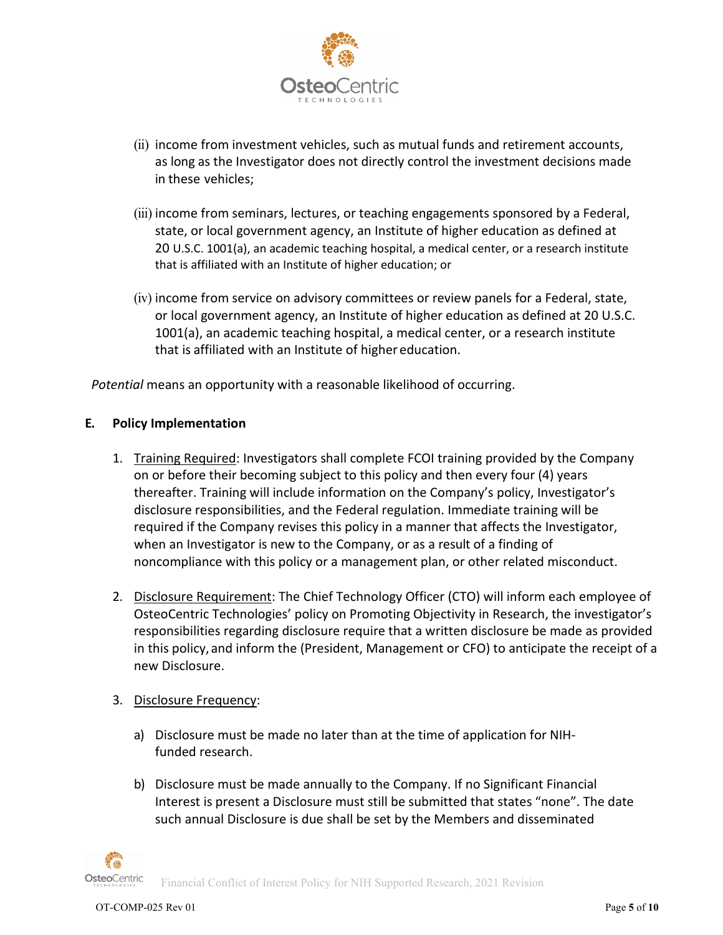

- (ii) income from investment vehicles, such as mutual funds and retirement accounts, as long as the Investigator does not directly control the investment decisions made in these vehicles;
- (iii) income from seminars, lectures, or teaching engagements sponsored by a Federal, state, or local government agency, an Institute of higher education as defined at 20 U.S.C. 1001(a), an academic teaching hospital, a medical center, or a research institute that is affiliated with an Institute of higher education; or
- (iv) income from service on advisory committees or review panels for a Federal, state, or local government agency, an Institute of higher education as defined at 20 U.S.C. 1001(a), an academic teaching hospital, a medical center, or a research institute that is affiliated with an Institute of higher education.

*Potential* means an opportunity with a reasonable likelihood of occurring.

## **E. Policy Implementation**

- 1. Training Required: Investigators shall complete FCOI training provided by the Company on or before their becoming subject to this policy and then every four (4) years thereafter. Training will include information on the Company's policy, Investigator's disclosure responsibilities, and the Federal regulation. Immediate training will be required if the Company revises this policy in a manner that affects the Investigator, when an Investigator is new to the Company, or as a result of a finding of noncompliance with this policy or a management plan, or other related misconduct.
- 2. Disclosure Requirement: The Chief Technology Officer (CTO) will inform each employee of OsteoCentric Technologies' policy on Promoting Objectivity in Research, the investigator's responsibilities regarding disclosure require that a written disclosure be made as provided in this policy, and inform the (President, Management or CFO) to anticipate the receipt of a new Disclosure.
- 3. Disclosure Frequency:
	- a) Disclosure must be made no later than at the time of application for NIHfunded research.
	- b) Disclosure must be made annually to the Company. If no Significant Financial Interest is present a Disclosure must still be submitted that states "none". The date such annual Disclosure is due shall be set by the Members and disseminated

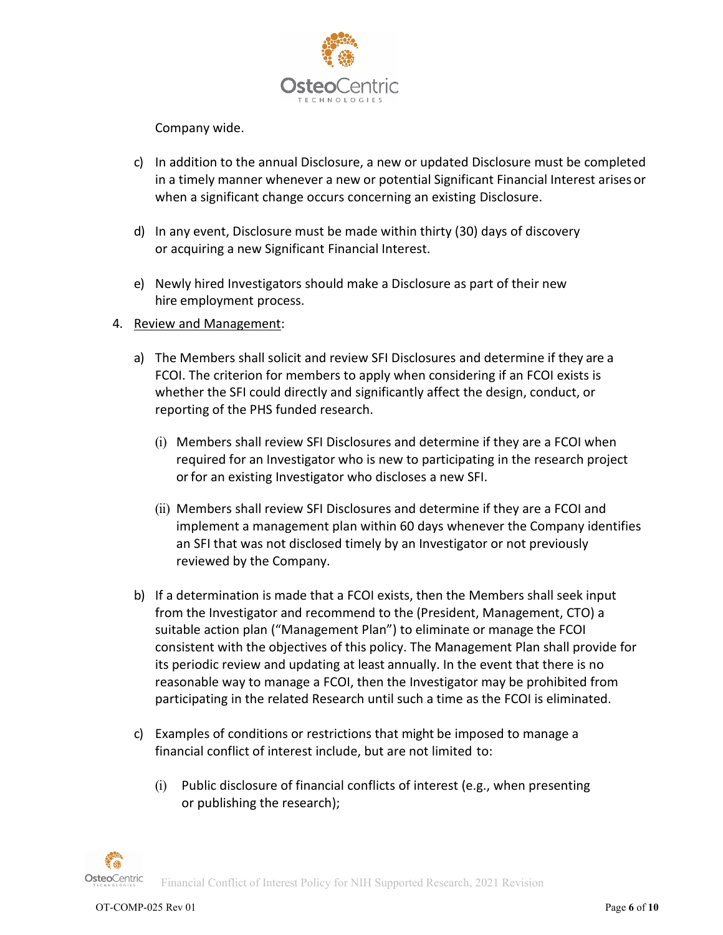

Company wide.

- c) In addition to the annual Disclosure, a new or updated Disclosure must be completed in a timely manner whenever a new or potential Significant Financial Interest arises or when a significant change occurs concerning an existing Disclosure.
- d) In any event, Disclosure must be made within thirty (30) days of discovery or acquiring a new Significant Financial Interest.
- e) Newly hired Investigators should make a Disclosure as part of their new hire employment process.
- 4. Review and Management:
	- a) The Members shall solicit and review SFI Disclosures and determine if they are a FCOI. The criterion for members to apply when considering if an FCOI exists is whether the SFI could directly and significantly affect the design, conduct, or reporting of the PHS funded research.
		- (i) Members shall review SFI Disclosures and determine if they are a FCOI when required for an Investigator who is new to participating in the research project or for an existing Investigator who discloses a new SFI.
		- (ii) Members shall review SFI Disclosures and determine if they are a FCOI and implement a management plan within 60 days whenever the Company identifies an SFI that was not disclosed timely by an Investigator or not previously reviewed by the Company.
	- b) If a determination is made that a FCOI exists, then the Members shall seek input from the Investigator and recommend to the (President, Management, CTO) a suitable action plan ("Management Plan") to eliminate or manage the FCOI consistent with the objectives of this policy. The Management Plan shall provide for its periodic review and updating at least annually. In the event that there is no reasonable way to manage a FCOI, then the Investigator may be prohibited from participating in the related Research until such a time as the FCOI is eliminated.
	- c) Examples of conditions or restrictions that might be imposed to manage a financial conflict of interest include, but are not limited to:
		- (i) Public disclosure of financial conflicts of interest (e.g., when presenting or publishing the research);

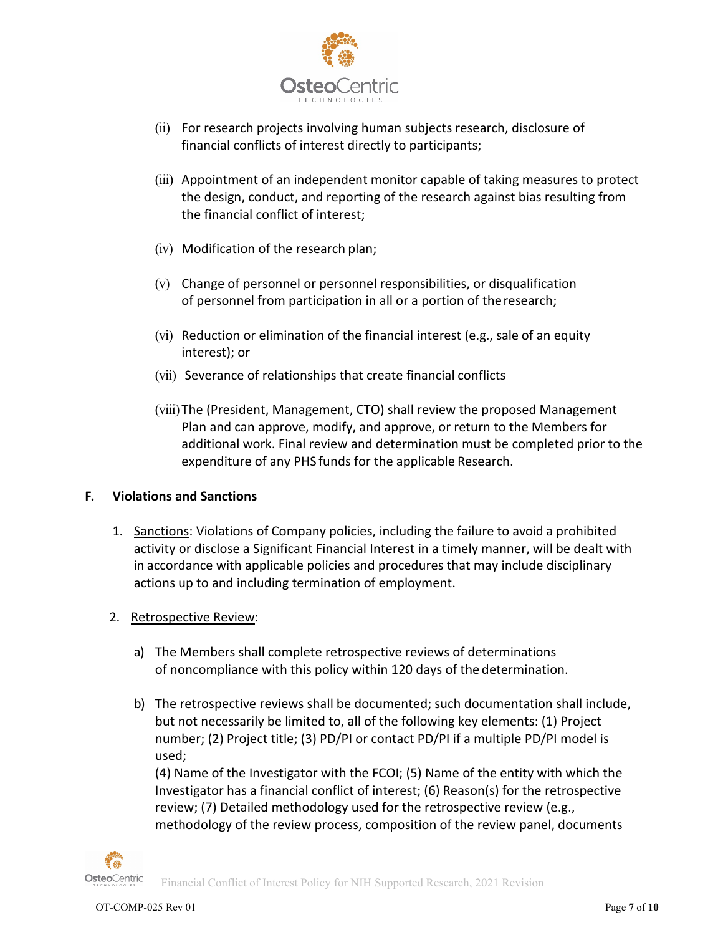

- (ii) For research projects involving human subjects research, disclosure of financial conflicts of interest directly to participants;
- (iii) Appointment of an independent monitor capable of taking measures to protect the design, conduct, and reporting of the research against bias resulting from the financial conflict of interest;
- (iv) Modification of the research plan;
- (v) Change of personnel or personnel responsibilities, or disqualification of personnel from participation in all or a portion of theresearch;
- (vi) Reduction or elimination of the financial interest (e.g., sale of an equity interest); or
- (vii) Severance of relationships that create financial conflicts
- (viii) The (President, Management, CTO) shall review the proposed Management Plan and can approve, modify, and approve, or return to the Members for additional work. Final review and determination must be completed prior to the expenditure of any PHS funds for the applicable Research.

## **F. Violations and Sanctions**

- 1. Sanctions: Violations of Company policies, including the failure to avoid a prohibited activity or disclose a Significant Financial Interest in a timely manner, will be dealt with in accordance with applicable policies and procedures that may include disciplinary actions up to and including termination of employment.
- 2. Retrospective Review:
	- a) The Members shall complete retrospective reviews of determinations of noncompliance with this policy within 120 days of the determination.
	- b) The retrospective reviews shall be documented; such documentation shall include, but not necessarily be limited to, all of the following key elements: (1) Project number; (2) Project title; (3) PD/PI or contact PD/PI if a multiple PD/PI model is used;

(4) Name of the Investigator with the FCOI; (5) Name of the entity with which the Investigator has a financial conflict of interest; (6) Reason(s) for the retrospective review; (7) Detailed methodology used for the retrospective review (e.g., methodology of the review process, composition of the review panel, documents



Financial Conflict of Interest Policy for NIH Supported Research, 2021 Revision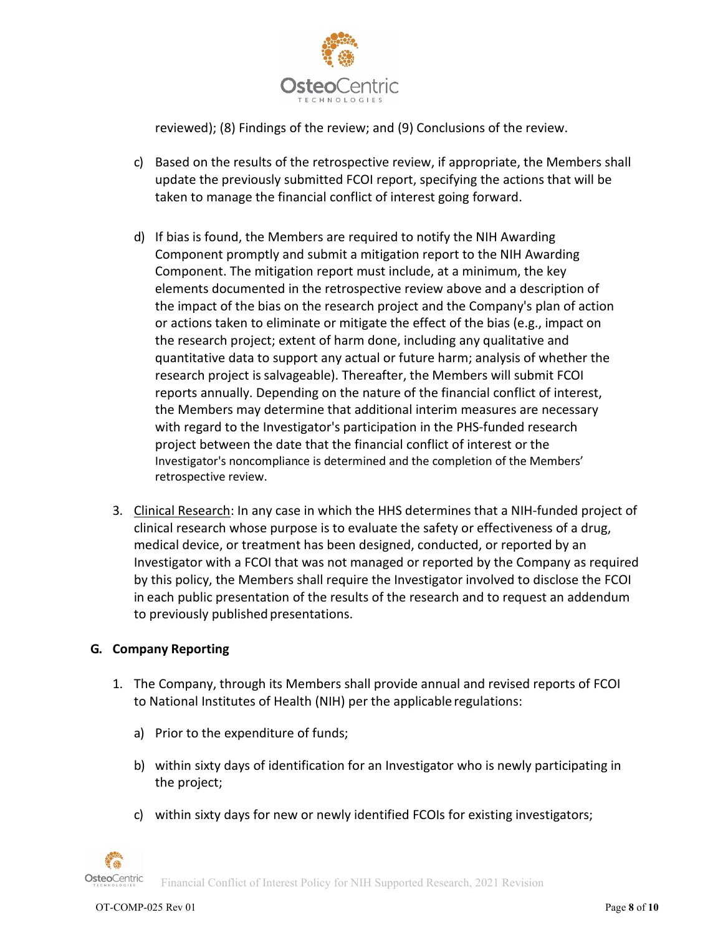

reviewed); (8) Findings of the review; and (9) Conclusions of the review.

- c) Based on the results of the retrospective review, if appropriate, the Members shall update the previously submitted FCOI report, specifying the actions that will be taken to manage the financial conflict of interest going forward.
- d) If bias is found, the Members are required to notify the NIH Awarding Component promptly and submit a mitigation report to the NIH Awarding Component. The mitigation report must include, at a minimum, the key elements documented in the retrospective review above and a description of the impact of the bias on the research project and the Company's plan of action or actions taken to eliminate or mitigate the effect of the bias (e.g., impact on the research project; extent of harm done, including any qualitative and quantitative data to support any actual or future harm; analysis of whether the research project is salvageable). Thereafter, the Members will submit FCOI reports annually. Depending on the nature of the financial conflict of interest, the Members may determine that additional interim measures are necessary with regard to the Investigator's participation in the PHS-funded research project between the date that the financial conflict of interest or the Investigator's noncompliance is determined and the completion of the Members' retrospective review.
- 3. Clinical Research: In any case in which the HHS determines that a NIH-funded project of clinical research whose purpose is to evaluate the safety or effectiveness of a drug, medical device, or treatment has been designed, conducted, or reported by an Investigator with a FCOI that was not managed or reported by the Company as required by this policy, the Members shall require the Investigator involved to disclose the FCOI in each public presentation of the results of the research and to request an addendum to previously published presentations.

## **G. Company Reporting**

- 1. The Company, through its Members shall provide annual and revised reports of FCOI to National Institutes of Health (NIH) per the applicable regulations:
	- a) Prior to the expenditure of funds;
	- b) within sixty days of identification for an Investigator who is newly participating in the project;
	- c) within sixty days for new or newly identified FCOIs for existing investigators;

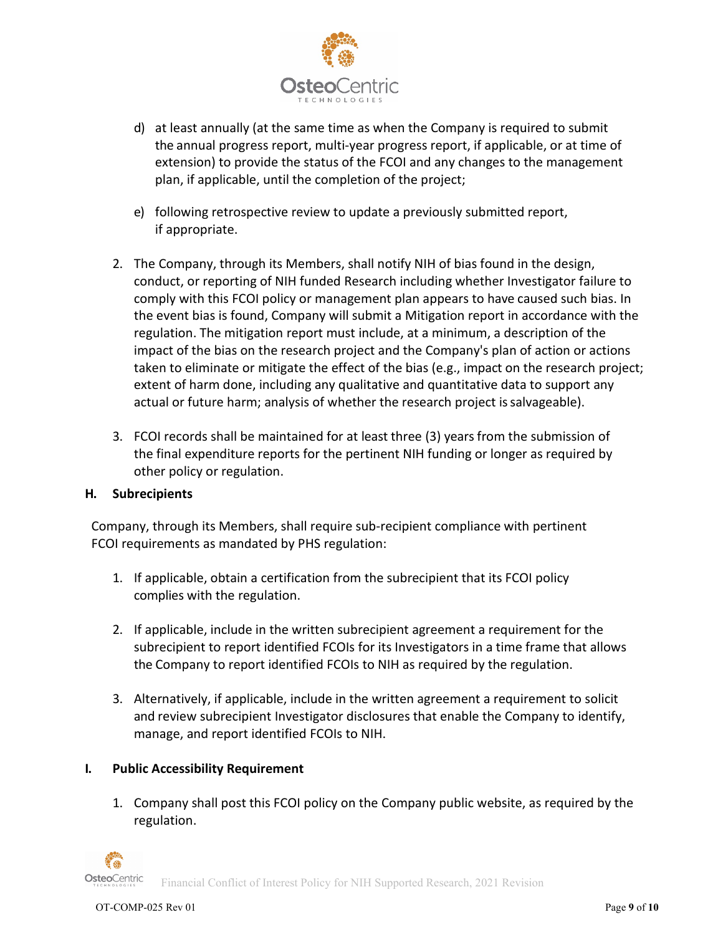

- d) at least annually (at the same time as when the Company is required to submit the annual progress report, multi-year progress report, if applicable, or at time of extension) to provide the status of the FCOI and any changes to the management plan, if applicable, until the completion of the project;
- e) following retrospective review to update a previously submitted report, if appropriate.
- 2. The Company, through its Members, shall notify NIH of bias found in the design, conduct, or reporting of NIH funded Research including whether Investigator failure to comply with this FCOI policy or management plan appears to have caused such bias. In the event bias is found, Company will submit a Mitigation report in accordance with the regulation. The mitigation report must include, at a minimum, a description of the impact of the bias on the research project and the Company's plan of action or actions taken to eliminate or mitigate the effect of the bias (e.g., impact on the research project; extent of harm done, including any qualitative and quantitative data to support any actual or future harm; analysis of whether the research project issalvageable).
- 3. FCOI records shall be maintained for at least three (3) years from the submission of the final expenditure reports for the pertinent NIH funding or longer as required by other policy or regulation.

## **H. Subrecipients**

Company, through its Members, shall require sub-recipient compliance with pertinent FCOI requirements as mandated by PHS regulation:

- 1. If applicable, obtain a certification from the subrecipient that its FCOI policy complies with the regulation.
- 2. If applicable, include in the written subrecipient agreement a requirement for the subrecipient to report identified FCOIs for its Investigators in a time frame that allows the Company to report identified FCOIs to NIH as required by the regulation.
- 3. Alternatively, if applicable, include in the written agreement a requirement to solicit and review subrecipient Investigator disclosures that enable the Company to identify, manage, and report identified FCOIs to NIH.

## **I. Public Accessibility Requirement**

1. Company shall post this FCOI policy on the Company public website, as required by the regulation.